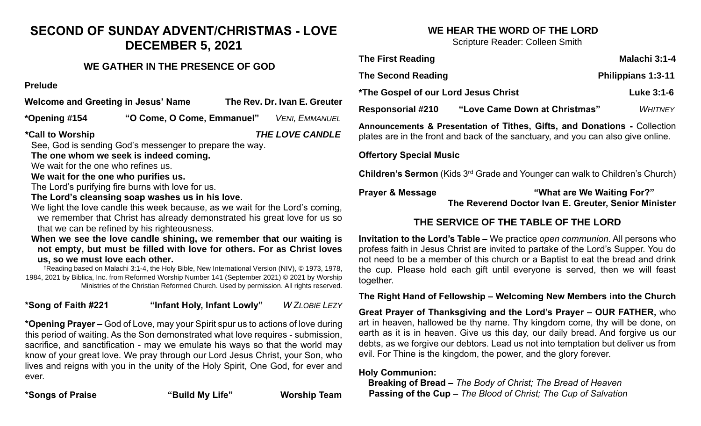# **SECOND OF SUNDAY ADVENT/CHRISTMAS - LOVE DECEMBER 5, 2021**

## **WE GATHER IN THE PRESENCE OF GOD**

**Prelude**

**Welcome and Greeting in Jesus' Name The Rev. Dr. Ivan E. Greuter**

**\*Opening #154 "O Come, O Come, Emmanuel"** *VENI, EMMANUEL*

**\*Call to Worship** *THE LOVE CANDLE*

See, God is sending God's messenger to prepare the way.

**The one whom we seek is indeed coming.**

We wait for the one who refines us.

**We wait for the one who purifies us.**

The Lord's purifying fire burns with love for us.

**The Lord's cleansing soap washes us in his love.**

We light the love candle this week because, as we wait for the Lord's coming, we remember that Christ has already demonstrated his great love for us so that we can be refined by his righteousness.

**When we see the love candle shining, we remember that our waiting is not empty, but must be filled with love for others. For as Christ loves us, so we must love each other.**

†Reading based on Malachi 3:1-4, the Holy Bible, New International Version (NIV), © 1973, 1978, 1984, 2021 by Biblica, Inc. from Reformed Worship Number 141 (September 2021) © 2021 by Worship Ministries of the Christian Reformed Church. Used by permission. All rights reserved.

**\*Song of Faith #221 "Infant Holy, Infant Lowly"** *W ZLOBIE LEZY*

**\*Opening Prayer –** God of Love, may your Spirit spur us to actions of love during this period of waiting. As the Son demonstrated what love requires - submission, sacrifice, and sanctification - may we emulate his ways so that the world may know of your great love. We pray through our Lord Jesus Christ, your Son, who lives and reigns with you in the unity of the Holy Spirit, One God, for ever and ever.

**\*Songs of Praise "Build My Life" Worship Team**

# **WE HEAR THE WORD OF THE LORD**

Scripture Reader: Colleen Smith

| <b>The First Reading</b>                                                                                                                                      |                               | Malachi 3:1-4             |
|---------------------------------------------------------------------------------------------------------------------------------------------------------------|-------------------------------|---------------------------|
| <b>The Second Reading</b>                                                                                                                                     |                               | <b>Philippians 1:3-11</b> |
| <i><b>*The Gospel of our Lord Jesus Christ</b></i>                                                                                                            |                               | Luke 3:1-6                |
| <b>Responsorial #210</b>                                                                                                                                      | "Love Came Down at Christmas" | <b>WHITNEY</b>            |
| Announcements & Presentation of Tithes, Gifts, and Donations - Collection<br>plates are in the front and back of the sanctuary, and you can also give online. |                               |                           |
| <b>Offertory Special Music</b>                                                                                                                                |                               |                           |
| <b>Children's Sermon</b> (Kids 3 <sup>rd</sup> Grade and Younger can walk to Children's Church)                                                               |                               |                           |
| "What are We Waiting For?"<br><b>Prayer &amp; Message</b><br>The Reverend Doctor Ivan E. Greuter, Senior Minister                                             |                               |                           |
| THE SERVICE OF THE TABLE OF THE LORD                                                                                                                          |                               |                           |

# **THE SERVICE OF THE TABLE OF THE LORD**

**Invitation to the Lord's Table –** We practice *open communion*. All persons who profess faith in Jesus Christ are invited to partake of the Lord's Supper. You do not need to be a member of this church or a Baptist to eat the bread and drink the cup. Please hold each gift until everyone is served, then we will feast together.

**The Right Hand of Fellowship – Welcoming New Members into the Church**

**Great Prayer of Thanksgiving and the Lord's Prayer – OUR FATHER,** who art in heaven, hallowed be thy name. Thy kingdom come, thy will be done, on earth as it is in heaven. Give us this day, our daily bread. And forgive us our debts, as we forgive our debtors. Lead us not into temptation but deliver us from evil. For Thine is the kingdom, the power, and the glory forever.

### **Holy Communion:**

 **Breaking of Bread –** *The Body of Christ; The Bread of Heaven*  **Passing of the Cup –** *The Blood of Christ; The Cup of Salvation*